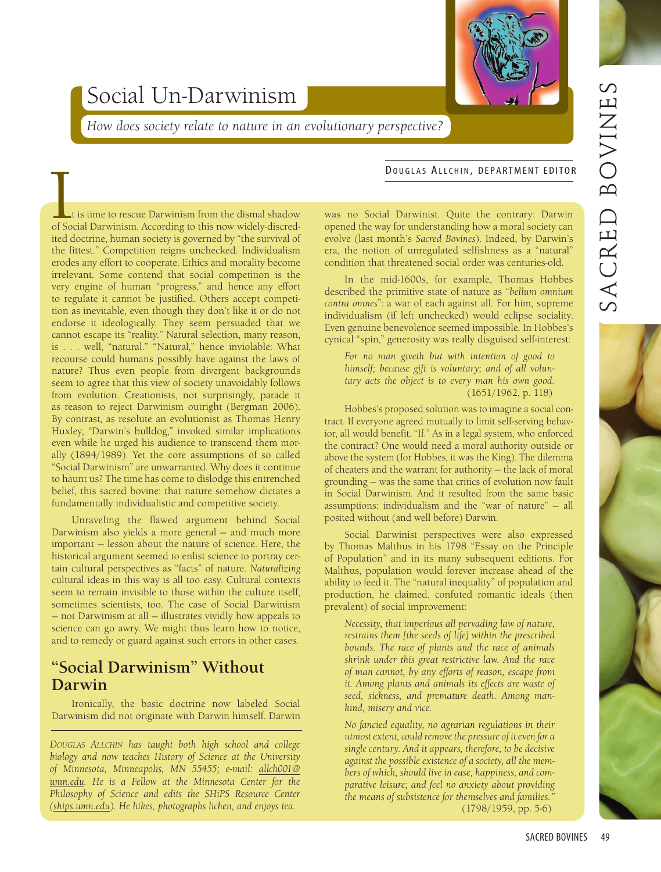# Social Un-Darwinism

*How does society relate to nature in an evolutionary perspective?*

## was no Social Darwinist. Quite the contrary: Darwin opened the way for understanding how a moral society can evolve (last month's *Sacred Bovines*). Indeed, by Darwin's era, the notion of unregulated selfishness as a "natural" condition that threatened social order was centuries-old. **DOUGLAS ALLCHIN, DEPARTMENT EDITOR**<br>
Let is time to rescue Darwinism from the dismal shadow was no Social Darwinist. Quite the contrary: Darwin of Social Darwinism. According to this now widely-discred-<br>
opened the way fo

In the mid-1600s, for example, Thomas Hobbes described the primitive state of nature as "*bellum omnium contra omnes*": a war of each against all. For him, supreme individualism (if left unchecked) would eclipse sociality. Even genuine benevolence seemed impossible. In Hobbes's cynical "spin," generosity was really disguised self-interest:

*For no man giveth but with intention of good to himself; because gift is voluntary; and of all voluntary acts the object is to every man his own good.* (1651/1962, p. 118)

Hobbes's proposed solution was to imagine a social contract. If everyone agreed mutually to limit self-serving behavior, all would benefit. "If." As in a legal system, who enforced the contract? One would need a moral authority outside or above the system (for Hobbes, it was the King). The dilemma of cheaters and the warrant for authority — the lack of moral grounding — was the same that critics of evolution now fault in Social Darwinism. And it resulted from the same basic assumptions: individualism and the "war of nature" — all posited without (and well before) Darwin.

Social Darwinist perspectives were also expressed by Thomas Malthus in his 1798 "Essay on the Principle of Population" and in its many subsequent editions. For Malthus, population would forever increase ahead of the ability to feed it. The "natural inequality" of population and production, he claimed, confuted romantic ideals (then prevalent) of social improvement:

*Necessity, that imperious all pervading law of nature, restrains them [the seeds of life] within the prescribed bounds. The race of plants and the race of animals shrink under this great restrictive law. And the race of man cannot, by any efforts of reason, escape from it. Among plants and animals its effects are waste of seed, sickness, and premature death. Among mankind, misery and vice.*

*No fancied equality, no agrarian regulations in their utmost extent, could remove the pressure of it even for a single century. And it appears, therefore, to be decisive against the possible existence of a society, all the members of which, should live in ease, happiness, and comparative leisure; and feel no anxiety about providing the means of subsistence for themselves and families."* (1798/1959, pp. 5-6)

t is time to rescue Darwinism from the dismal shadow of Social Darwinism. According to this now widely-discredited doctrine, human society is governed by "the survival of the fittest." Competition reigns unchecked. Individualism erodes any effort to cooperate. Ethics and morality become irrelevant. Some contend that social competition is the very engine of human "progress," and hence any effort to regulate it cannot be justified. Others accept competition as inevitable, even though they don't like it or do not endorse it ideologically. They seem persuaded that we cannot escape its "reality." Natural selection, many reason, is . . . well, "natural." "Natural," hence inviolable: What recourse could humans possibly have against the laws of nature? Thus even people from divergent backgrounds seem to agree that this view of society unavoidably follows from evolution. Creationists, not surprisingly, parade it as reason to reject Darwinism outright (Bergman 2006). By contrast, as resolute an evolutionist as Thomas Henry Huxley, "Darwin's bulldog," invoked similar implications even while he urged his audience to transcend them morally (1894/1989). Yet the core assumptions of so called "Social Darwinism" are unwarranted. Why does it continue to haunt us? The time has come to dislodge this entrenched belief, this sacred bovine: that nature somehow dictates a fundamentally individualistic and competitive society.

Unraveling the flawed argument behind Social Darwinism also yields a more general — and much more important — lesson about the nature of science. Here, the historical argument seemed to enlist science to portray certain cultural perspectives as "facts" of nature. *Naturalizing* cultural ideas in this way is all too easy. Cultural contexts seem to remain invisible to those within the culture itself, sometimes scientists, too. The case of Social Darwinism — not Darwinism at all — illustrates vividly how appeals to science can go awry. We might thus learn how to notice, and to remedy or guard against such errors in other cases.

### **"Social Darwinism" Without Darwin**

Ironically, the basic doctrine now labeled Social Darwinism did not originate with Darwin himself. Darwin

*DOUGLAS ALLCHIN has taught both high school and college biology and now teaches History of Science at the University of Minnesota, Minneapolis, MN 55455; e-mail: allch001@ umn.edu. He is a Fellow at the Minnesota Center for the Philosophy of Science and edits the SHiPS Resource Center (ships.umn.edu). He hikes, photographs lichen, and enjoys tea.*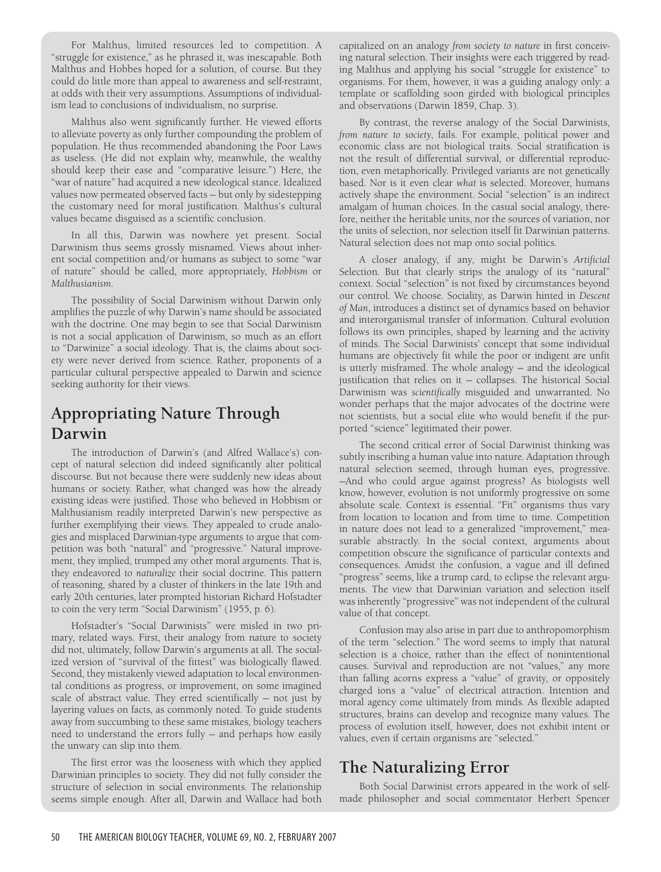For Malthus, limited resources led to competition. A "struggle for existence," as he phrased it, was inescapable. Both Malthus and Hobbes hoped for a solution, of course. But they could do little more than appeal to awareness and self-restraint, at odds with their very assumptions. Assumptions of individualism lead to conclusions of individualism, no surprise.

Malthus also went significantly further. He viewed efforts to alleviate poverty as only further compounding the problem of population. He thus recommended abandoning the Poor Laws as useless. (He did not explain why, meanwhile, the wealthy should keep their ease and "comparative leisure.") Here, the "war of nature" had acquired a new ideological stance. Idealized values now permeated observed facts — but only by sidestepping the customary need for moral justification. Malthus's cultural values became disguised as a scientific conclusion.

In all this, Darwin was nowhere yet present. Social Darwinism thus seems grossly misnamed. Views about inherent social competition and/or humans as subject to some "war of nature" should be called, more appropriately, *Hobbism* or *Malthusianism*.

The possibility of Social Darwinism without Darwin only amplifies the puzzle of why Darwin's name should be associated with the doctrine. One may begin to see that Social Darwinism is not a social application of Darwinism, so much as an effort to "Darwinize" a social ideology. That is, the claims about society were never derived from science. Rather, proponents of a particular cultural perspective appealed to Darwin and science seeking authority for their views.

# **Appropriating Nature Through Darwin**

The introduction of Darwin's (and Alfred Wallace's) concept of natural selection did indeed significantly alter political discourse. But not because there were suddenly new ideas about humans or society. Rather, what changed was how the already existing ideas were justified. Those who believed in Hobbism or Malthusianism readily interpreted Darwin's new perspective as further exemplifying their views. They appealed to crude analogies and misplaced Darwinian-type arguments to argue that competition was both "natural" and "progressive." Natural improvement, they implied, trumped any other moral arguments. That is, they endeavored to *naturalize* their social doctrine. This pattern of reasoning, shared by a cluster of thinkers in the late 19th and early 20th centuries, later prompted historian Richard Hofstadter to coin the very term "Social Darwinism" (1955, p. 6).

Hofstadter's "Social Darwinists" were misled in two primary, related ways. First, their analogy from nature to society did not, ultimately, follow Darwin's arguments at all. The socialized version of "survival of the fittest" was biologically flawed. Second, they mistakenly viewed adaptation to local environmental conditions as progress, or improvement, on some imagined scale of abstract value. They erred scientifically — not just by layering values on facts, as commonly noted. To guide students away from succumbing to these same mistakes, biology teachers need to understand the errors fully — and perhaps how easily the unwary can slip into them.

The first error was the looseness with which they applied Darwinian principles to society. They did not fully consider the structure of selection in social environments. The relationship seems simple enough. After all, Darwin and Wallace had both

capitalized on an analogy *from society to nature* in first conceiving natural selection. Their insights were each triggered by reading Malthus and applying his social "struggle for existence" to organisms. For them, however, it was a guiding analogy only: a template or scaffolding soon girded with biological principles and observations (Darwin 1859, Chap. 3).

By contrast, the reverse analogy of the Social Darwinists, *from nature to society*, fails. For example, political power and economic class are not biological traits. Social stratification is not the result of differential survival, or differential reproduction, even metaphorically. Privileged variants are not genetically based. Nor is it even clear *what* is selected. Moreover, humans actively shape the environment. Social "selection" is an indirect amalgam of human choices. In the casual social analogy, therefore, neither the heritable units, nor the sources of variation, nor the units of selection, nor selection itself fit Darwinian patterns. Natural selection does not map onto social politics.

A closer analogy, if any, might be Darwin's *Artificial* Selection. But that clearly strips the analogy of its "natural" context. Social "selection" is not fixed by circumstances beyond our control. We choose. Sociality, as Darwin hinted in *Descent of Man*, introduces a distinct set of dynamics based on behavior and interorganismal transfer of information. Cultural evolution follows its own principles, shaped by learning and the activity of minds. The Social Darwinists' concept that some individual humans are objectively fit while the poor or indigent are unfit is utterly misframed. The whole analogy — and the ideological justification that relies on it — collapses. The historical Social Darwinism was *scientifically* misguided and unwarranted. No wonder perhaps that the major advocates of the doctrine were not scientists, but a social elite who would benefit if the purported "science" legitimated their power.

The second critical error of Social Darwinist thinking was subtly inscribing a human value into nature. Adaptation through natural selection seemed, through human eyes, progressive. —And who could argue against progress? As biologists well know, however, evolution is not uniformly progressive on some absolute scale. Context is essential. "Fit" organisms thus vary from location to location and from time to time. Competition in nature does not lead to a generalized "improvement," measurable abstractly. In the social context, arguments about competition obscure the significance of particular contexts and consequences. Amidst the confusion, a vague and ill defined "progress" seems, like a trump card, to eclipse the relevant arguments. The view that Darwinian variation and selection itself was inherently "progressive" was not independent of the cultural value of that concept.

Confusion may also arise in part due to anthropomorphism of the term "selection." The word seems to imply that natural selection is a choice, rather than the effect of nonintentional causes. Survival and reproduction are not "values," any more than falling acorns express a "value" of gravity, or oppositely charged ions a "value" of electrical attraction. Intention and moral agency come ultimately from minds. As flexible adapted structures, brains can develop and recognize many values. The process of evolution itself, however, does not exhibit intent or values, even if certain organisms are "selected."

# **The Naturalizing Error**

Both Social Darwinist errors appeared in the work of selfmade philosopher and social commentator Herbert Spencer